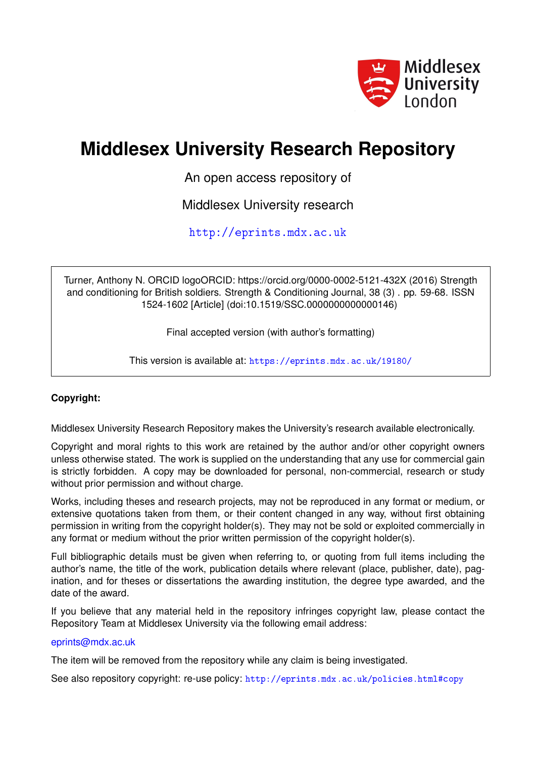

## **Middlesex University Research Repository**

An open access repository of

Middlesex University research

<http://eprints.mdx.ac.uk>

Turner, Anthony N. ORCID logoORCID: https://orcid.org/0000-0002-5121-432X (2016) Strength and conditioning for British soldiers. Strength & Conditioning Journal, 38 (3) . pp. 59-68. ISSN 1524-1602 [Article] (doi:10.1519/SSC.0000000000000146)

Final accepted version (with author's formatting)

This version is available at: <https://eprints.mdx.ac.uk/19180/>

## **Copyright:**

Middlesex University Research Repository makes the University's research available electronically.

Copyright and moral rights to this work are retained by the author and/or other copyright owners unless otherwise stated. The work is supplied on the understanding that any use for commercial gain is strictly forbidden. A copy may be downloaded for personal, non-commercial, research or study without prior permission and without charge.

Works, including theses and research projects, may not be reproduced in any format or medium, or extensive quotations taken from them, or their content changed in any way, without first obtaining permission in writing from the copyright holder(s). They may not be sold or exploited commercially in any format or medium without the prior written permission of the copyright holder(s).

Full bibliographic details must be given when referring to, or quoting from full items including the author's name, the title of the work, publication details where relevant (place, publisher, date), pagination, and for theses or dissertations the awarding institution, the degree type awarded, and the date of the award.

If you believe that any material held in the repository infringes copyright law, please contact the Repository Team at Middlesex University via the following email address:

## [eprints@mdx.ac.uk](mailto:eprints@mdx.ac.uk)

The item will be removed from the repository while any claim is being investigated.

See also repository copyright: re-use policy: <http://eprints.mdx.ac.uk/policies.html#copy>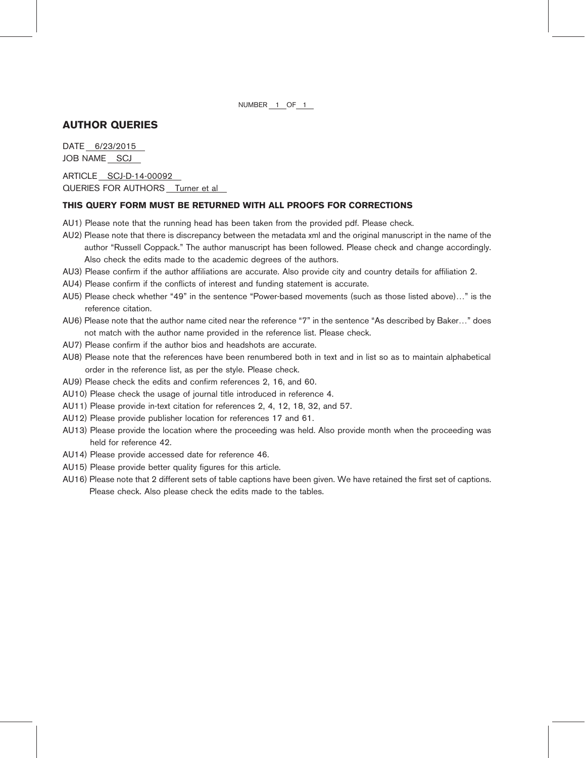NUMBER 1 OF 1

## AUTHOR QUERIES

DATE 6/23/2015 JOB NAME SCJ

ARTICLE SCJ-D-14-00092 QUERIES FOR AUTHORS Turner et al

## THIS QUERY FORM MUST BE RETURNED WITH ALL PROOFS FOR CORRECTIONS

- AU1) Please note that the running head has been taken from the provided pdf. Please check.
- AU2) Please note that there is discrepancy between the metadata xml and the original manuscript in the name of the author "Russell Coppack." The author manuscript has been followed. Please check and change accordingly. Also check the edits made to the academic degrees of the authors.
- AU3) Please confirm if the author affiliations are accurate. Also provide city and country details for affiliation 2.
- AU4) Please confirm if the conflicts of interest and funding statement is accurate.
- AU5) Please check whether "49" in the sentence "Power-based movements (such as those listed above)." is the reference citation.
- AU6) Please note that the author name cited near the reference "7" in the sentence "As described by Baker..." does not match with the author name provided in the reference list. Please check.
- AU7) Please confirm if the author bios and headshots are accurate.
- AU8) Please note that the references have been renumbered both in text and in list so as to maintain alphabetical order in the reference list, as per the style. Please check.
- AU9) Please check the edits and confirm references 2, 16, and 60.
- AU10) Please check the usage of journal title introduced in reference 4.
- AU11) Please provide in-text citation for references 2, 4, 12, 18, 32, and 57.
- AU12) Please provide publisher location for references 17 and 61.
- AU13) Please provide the location where the proceeding was held. Also provide month when the proceeding was held for reference 42.
- AU14) Please provide accessed date for reference 46.
- AU15) Please provide better quality figures for this article.
- AU16) Please note that 2 different sets of table captions have been given. We have retained the first set of captions. Please check. Also please check the edits made to the tables.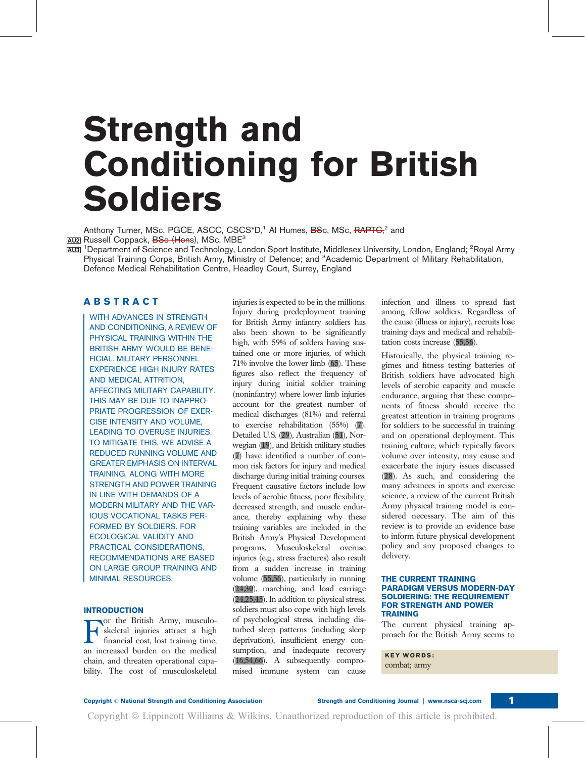## Strength and Conditioning for British Soldiers

Anthony Turner, MSc, PGCE, ASCC, CSCS\*D,<sup>1</sup> Al Humes, BSc, MSc, RAPTC<sup>2</sup> and

<u>auz</u>l Russell Coppack, <del>BSc (Hon</del>s), MSc, MBE<sup>3</sup><br><u>au3</u>l <sup>1</sup>Department of Science and Technology, London Sport Institute, Middlesex University, London, England; <sup>2</sup>Royal Army Physical Training Corps, British Army, Ministry of Defence; and <sup>3</sup>Academic Department of Military Rehabilitation, Defence Medical Rehabilitation Centre, Headley Court, Surrey, England

## ABSTRACT

WITH ADVANCES IN STRENGTH AND CONDITIONING, A REVIEW OF PHYSICAL TRAINING WITHIN THE BRITISH ARMY WOULD BE BENE-FICIAL. MILITARY PERSONNEL EXPERIENCE HIGH INJURY RATES AND MEDICAL ATTRITION, AFFECTING MILITARY CAPABILITY. THIS MAY BE DUE TO INAPPRO-PRIATE PROGRESSION OF EXER-CISE INTENSITY AND VOLUME, LEADING TO OVERUSE INJURIES. TO MITIGATE THIS, WE ADVISE A REDUCED RUNNING VOLUME AND GREATER EMPHASIS ON INTERVAL TRAINING, ALONG WITH MORE STRENGTH AND POWER TRAINING IN LINE WITH DEMANDS OF A MODERN MILITARY AND THE VAR-IOUS VOCATIONAL TASKS PER-FORMED BY SOLDIERS. FOR ECOLOGICAL VALIDITY AND PRACTICAL CONSIDERATIONS, RECOMMENDATIONS ARE BASED ON LARGE GROUP TRAINING AND MINIMAL RESOURCES.

## **INTRODUCTION**

For the British Army, musculo-<br>skeletal injuries attract a high<br>financial cost, lost training time,<br>an increased burden on the medical or the British Army, musculoskeletal injuries attract a high financial cost, lost training time, chain, and threaten operational capability. The cost of musculoskeletal injuries is expected to be in the millions. Injury during predeployment training for British Army infantry soldiers has also been shown to be significantly high, with 59% of solders having sustained one or more injuries, of which 71% involve the lower limb (65). These figures also reflect the frequency of injury during initial soldier training (noninfantry) where lower limb injuries account for the greatest number of medical discharges (81%) and referral to exercise rehabilitation (55%) (7). Detailed U.S. (29), Australian (51), Norwegian (19), and British military studies (7) have identified a number of common risk factors for injury and medical discharge during initial training courses. Frequent causative factors include low levels of aerobic fitness, poor flexibility, decreased strength, and muscle endurance, thereby explaining why these training variables are included in the British Army's Physical Development programs. Musculoskeletal overuse injuries (e.g., stress fractures) also result from a sudden increase in training volume (55,56), particularly in running (24,30), marching, and load carriage (24,25,45). In addition to physical stress, soldiers must also cope with high levels of psychological stress, including disturbed sleep patterns (including sleep deprivation), insufficient energy consumption, and inadequate recovery (16,54,66). A subsequently compromised immune system can cause

infection and illness to spread fast among fellow soldiers. Regardless of the cause (illness or injury), recruits lose training days and medical and rehabilitation costs increase (55,56).

Historically, the physical training regimes and fitness testing batteries of British soldiers have advocated high levels of aerobic capacity and muscle endurance, arguing that these components of fitness should receive the greatest attention in training programs for soldiers to be successful in training and on operational deployment. This training culture, which typically favors volume over intensity, may cause and exacerbate the injury issues discussed (28). As such, and considering the many advances in sports and exercise science, a review of the current British Army physical training model is considered necessary. The aim of this review is to provide an evidence base to inform future physical development policy and any proposed changes to delivery.

#### THE CURRENT TRAINING PARADIGM VERSUS MODERN-DAY SOLDIERING: THE REQUIREMENT FOR STRENGTH AND POWER TRAINING

The current physical training approach for the British Army seems to

KEY WORDS: combat; army

Copyright © National Strength and Conditioning Association Strength and Conditioning Journal | www.nsca-scj.com 1

Copyright  $\circledcirc$  Lippincott Williams & Wilkins. Unauthorized reproduction of this article is prohibited.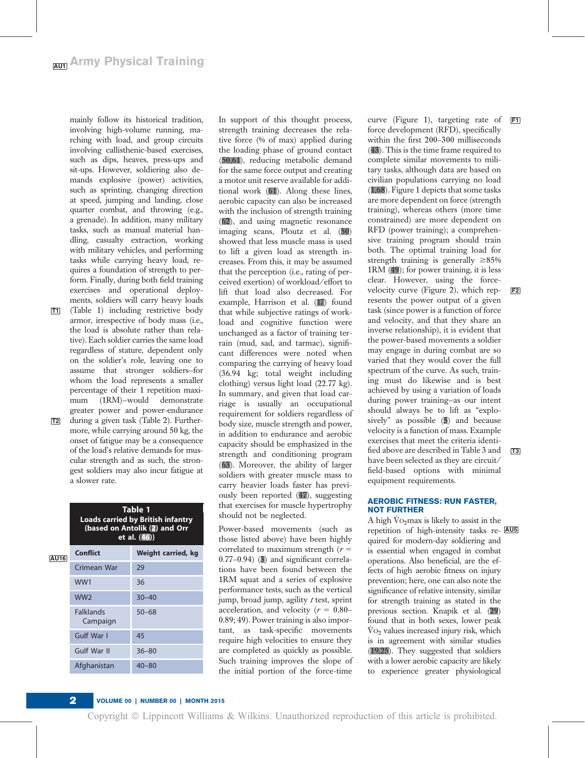mainly follow its historical tradition, involving high-volume running, marching with load, and group circuits involving callisthenic-based exercises, such as dips, heaves, press-ups and sit-ups. However, soldiering also demands explosive (power) activities, such as sprinting, changing direction at speed, jumping and landing, close quarter combat, and throwing (e.g., a grenade). In addition, many military tasks, such as manual material handling, casualty extraction, working with military vehicles, and performing tasks while carrying heavy load, requires a foundation of strength to perform. Finally, during both field training exercises and operational deployments, soldiers will carry heavy loads

- T1 (Table 1) including restrictive body armor, irrespective of body mass (i.e., the load is absolute rather than relative). Each soldier carries the same load regardless of stature, dependent only on the soldier's role, leaving one to assume that stronger soldiers—for whom the load represents a smaller percentage of their 1 repetition maximum (1RM)—would demonstrate greater power and power-endurance
- T2 during a given task (Table 2). Furthermore, while carrying around 50 kg, the onset of fatigue may be a consequence of the load's relative demands for muscular strength and as such, the strongest soldiers may also incur fatigue at a slower rate.

|             | Table 1<br><b>Loads carried by British infantry</b><br>(based on Antolik (2) and Orr<br>et al. (46)) |                    |  |  |  |
|-------------|------------------------------------------------------------------------------------------------------|--------------------|--|--|--|
| <b>AU16</b> | <b>Conflict</b>                                                                                      | Weight carried, kg |  |  |  |
|             | Crimean War                                                                                          | 29                 |  |  |  |
|             | WW1                                                                                                  | 36                 |  |  |  |
|             | WW <sub>2</sub>                                                                                      | $30 - 40$          |  |  |  |
|             | <b>Falklands</b><br>Campaign                                                                         | $50 - 68$          |  |  |  |
|             | Gulf War I                                                                                           | 45                 |  |  |  |
|             | Gulf War II                                                                                          | $36 - 80$          |  |  |  |
|             | Afghanistan                                                                                          | $40 - 80$          |  |  |  |

In support of this thought process, strength training decreases the relative force (% of max) applied during the loading phase of ground contact (50,61), reducing metabolic demand for the same force output and creating a motor unit reserve available for additional work (61). Along these lines, aerobic capacity can also be increased with the inclusion of strength training (62), and using magnetic resonance imaging scans, Ploutz et al. (50) showed that less muscle mass is used to lift a given load as strength increases. From this, it may be assumed that the perception (i.e., rating of perceived exertion) of workload/effort to lift that load also decreased. For example, Harrison et al. (17) found that while subjective ratings of workload and cognitive function were unchanged as a factor of training terrain (mud, sad, and tarmac), significant differences were noted when comparing the carrying of heavy load (36.94 kg; total weight including clothing) versus light load (22.77 kg). In summary, and given that load carriage is usually an occupational requirement for soldiers regardless of body size, muscle strength and power, in addition to endurance and aerobic capacity should be emphasized in the strength and conditioning program (63). Moreover, the ability of larger soldiers with greater muscle mass to carry heavier loads faster has previously been reported (47), suggesting that exercises for muscle hypertrophy should not be neglected.

those listed above) have been highly correlated to maximum strength  $(r =$ 0.77–0.94) (3) and significant correlations have been found between the 1RM squat and a series of explosive performance tests, such as the vertical jump, broad jump, agility  $t$  test, sprint acceleration, and velocity ( $r = 0.80-$ 0.89; 49). Power training is also important, as task-specific movements require high velocities to ensure they are completed as quickly as possible. Such training improves the slope of the initial portion of the force-time

curve (Figure 1), targeting rate of  $F1$ force development (RFD), specifically within the first 200–300 milliseconds (43). This is the time frame required to complete similar movements to military tasks, although data are based on civilian populations carrying no load (1,68). Figure 1 depicts that some tasks are more dependent on force (strength training), whereas others (more time constrained) are more dependent on RFD (power training); a comprehensive training program should train both. The optimal training load for strength training is generally  $\geq 85\%$ 1RM (49); for power training, it is less clear. However, using the forcevelocity curve (Figure 2), which represents the power output of a given task (since power is a function of force and velocity, and that they share an inverse relationship), it is evident that the power-based movements a soldier may engage in during combat are so varied that they would cover the full spectrum of the curve. As such, training must do likewise and is best achieved by using a variation of loads during power training—as our intent should always be to lift as "explosively" as possible (5) and because velocity is a function of mass. Example exercises that meet the criteria identified above are described in Table 3 and  $\overline{T3}$ have been selected as they are circuit/ field-based options with minimal equipment requirements.

## AEROBIC FITNESS: RUN FASTER, NOT FURTHER

Power-based movements (such as repetition of high-intensity tasks re-A high V̇ O2max is likely to assist in the quired for modern-day soldiering and is essential when engaged in combat operations. Also beneficial, are the effects of high aerobic fitness on injury prevention; here, one can also note the significance of relative intensity, similar for strength training as stated in the previous section. Knapik et al. (29) found that in both sexes, lower peak V̇ O2 values increased injury risk, which is in agreement with similar studies (19,25). They suggested that soldiers with a lower aerobic capacity are likely to experience greater physiological

## 2 VOLUME 00 | NUMBER 00 | MONTH 2015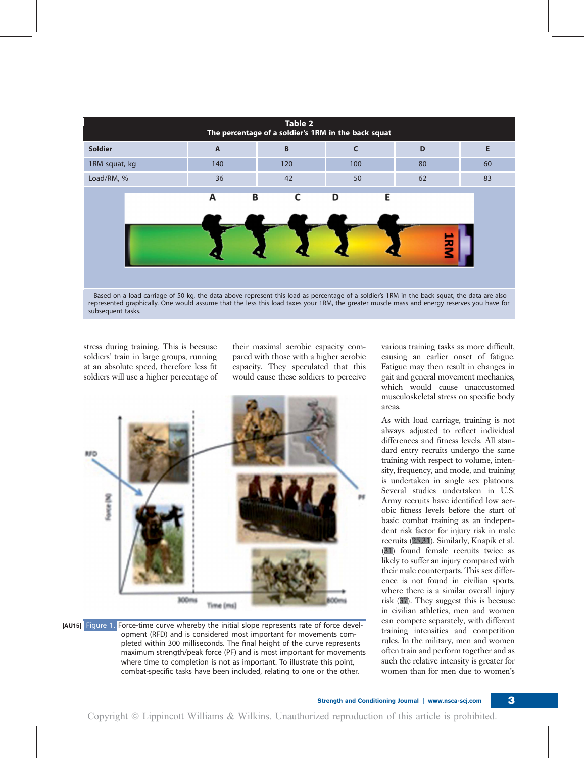

represented graphically. One would assume that the less this load taxes your 1RM, the greater muscle mass and energy reserves you have for subsequent tasks.

stress during training. This is because soldiers' train in large groups, running at an absolute speed, therefore less fit soldiers will use a higher percentage of their maximal aerobic capacity compared with those with a higher aerobic capacity. They speculated that this would cause these soldiers to perceive





various training tasks as more difficult, causing an earlier onset of fatigue. Fatigue may then result in changes in gait and general movement mechanics, which would cause unaccustomed musculoskeletal stress on specific body areas.

As with load carriage, training is not always adjusted to reflect individual differences and fitness levels. All standard entry recruits undergo the same training with respect to volume, intensity, frequency, and mode, and training is undertaken in single sex platoons. Several studies undertaken in U.S. Army recruits have identified low aerobic fitness levels before the start of basic combat training as an independent risk factor for injury risk in male recruits (25,31). Similarly, Knapik et al. (31) found female recruits twice as likely to suffer an injury compared with their male counterparts. This sex difference is not found in civilian sports, where there is a similar overall injury risk (37). They suggest this is because in civilian athletics, men and women can compete separately, with different training intensities and competition rules. In the military, men and women often train and perform together and as such the relative intensity is greater for women than for men due to women's

Strength and Conditioning Journal | www.nsca-scj.com 3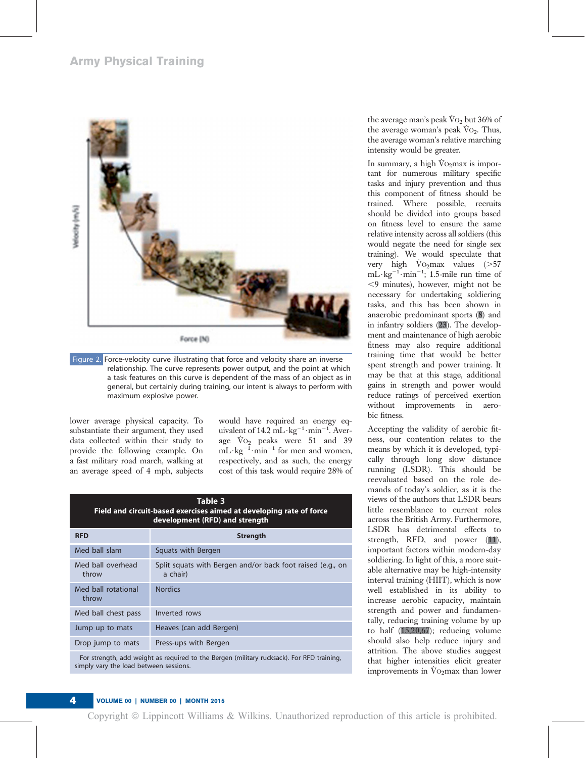## Army Physical Training



Figure 2. Force-velocity curve illustrating that force and velocity share an inverse relationship. The curve represents power output, and the point at which a task features on this curve is dependent of the mass of an object as in general, but certainly during training, our intent is always to perform with maximum explosive power.

lower average physical capacity. To substantiate their argument, they used data collected within their study to provide the following example. On a fast military road march, walking at an average speed of 4 mph, subjects would have required an energy equivalent of 14.2 mL·kg<sup>-1</sup>·min<sup>-1</sup>. Average V̇ O2 peaks were 51 and 39  $mL \cdot kg^{-1} \cdot min^{-1}$  for men and women, respectively, and as such, the energy cost of this task would require 28% of

| Table 3<br>Field and circuit-based exercises aimed at developing rate of force<br>development (RFD) and strength                    |                                                                        |  |  |  |  |
|-------------------------------------------------------------------------------------------------------------------------------------|------------------------------------------------------------------------|--|--|--|--|
| <b>RFD</b>                                                                                                                          | <b>Strength</b>                                                        |  |  |  |  |
| Med ball slam                                                                                                                       | Squats with Bergen                                                     |  |  |  |  |
| Med ball overhead<br>throw                                                                                                          | Split squats with Bergen and/or back foot raised (e.g., on<br>a chair) |  |  |  |  |
| Med ball rotational<br>throw                                                                                                        | <b>Nordics</b>                                                         |  |  |  |  |
| Med ball chest pass                                                                                                                 | Inverted rows                                                          |  |  |  |  |
| Jump up to mats                                                                                                                     | Heaves (can add Bergen)                                                |  |  |  |  |
| Drop jump to mats                                                                                                                   | Press-ups with Bergen                                                  |  |  |  |  |
| For strength, add weight as required to the Bergen (military rucksack). For RFD training,<br>simply vary the load between sessions. |                                                                        |  |  |  |  |

the average man's peak V̇ O2 but 36% of the average woman's peak  $\dot{V}o_2$ . Thus, the average woman's relative marching intensity would be greater.

In summary, a high Vo<sub>2</sub>max is important for numerous military specific tasks and injury prevention and thus this component of fitness should be trained. Where possible, recruits should be divided into groups based on fitness level to ensure the same relative intensity across all soldiers (this would negate the need for single sex training). We would speculate that very high  $\dot{V}$ O<sub>2</sub>max values (>57  $mL \cdot kg^{-1} \cdot min^{-1}$ ; 1.5-mile run time of ,9 minutes), however, might not be necessary for undertaking soldiering tasks, and this has been shown in anaerobic predominant sports (8) and in infantry soldiers (23). The development and maintenance of high aerobic fitness may also require additional training time that would be better spent strength and power training. It may be that at this stage, additional gains in strength and power would reduce ratings of perceived exertion without improvements in aerobic fitness.

Accepting the validity of aerobic fitness, our contention relates to the means by which it is developed, typically through long slow distance running (LSDR). This should be reevaluated based on the role demands of today's soldier, as it is the views of the authors that LSDR bears little resemblance to current roles across the British Army. Furthermore, LSDR has detrimental effects to strength, RFD, and power (11), important factors within modern-day soldiering. In light of this, a more suitable alternative may be high-intensity interval training (HIIT), which is now well established in its ability to increase aerobic capacity, maintain strength and power and fundamentally, reducing training volume by up to half (15,20,67); reducing volume should also help reduce injury and attrition. The above studies suggest that higher intensities elicit greater improvements in  $\dot{V}$ O<sub>2</sub>max than lower

## 4 VOLUME 00 | NUMBER 00 | MONTH 2015

Copyright © Lippincott Williams & Wilkins. Unauthorized reproduction of this article is prohibited.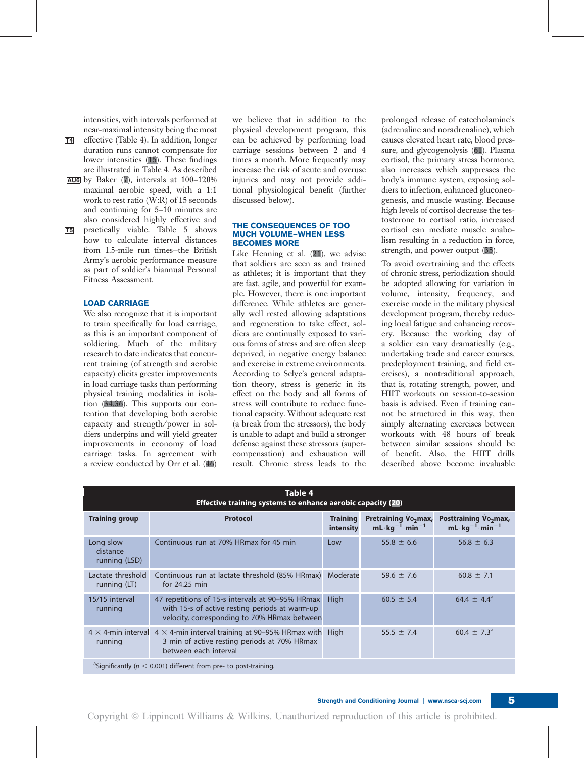intensities, with intervals performed at near-maximal intensity being the most

- T4 effective (Table 4). In addition, longer duration runs cannot compensate for lower intensities (15). These findings are illustrated in Table 4. As described AU6 by Baker (7), intervals at 100–120%
- maximal aerobic speed, with a 1:1 work to rest ratio (W:R) of 15 seconds and continuing for 5–10 minutes are also considered highly effective and
- T5 practically viable. Table 5 shows how to calculate interval distances from 1.5-mile run times—the British Army's aerobic performance measure as part of soldier's biannual Personal Fitness Assessment.

## LOAD CARRIAGE

We also recognize that it is important to train specifically for load carriage, as this is an important component of soldiering. Much of the military research to date indicates that concurrent training (of strength and aerobic capacity) elicits greater improvements in load carriage tasks than performing physical training modalities in isolation  $(34,36)$ . This supports our contention that developing both aerobic capacity and strength/power in soldiers underpins and will yield greater improvements in economy of load carriage tasks. In agreement with a review conducted by Orr et al. (46) we believe that in addition to the physical development program, this can be achieved by performing load carriage sessions between 2 and 4 times a month. More frequently may increase the risk of acute and overuse injuries and may not provide additional physiological benefit (further discussed below).

#### THE CONSEQUENCES OF TOO MUCH VOLUME—WHEN LESS BECOMES MORE

Like Henning et al. (21), we advise that soldiers are seen as and trained as athletes; it is important that they are fast, agile, and powerful for example. However, there is one important difference. While athletes are generally well rested allowing adaptations and regeneration to take effect, soldiers are continually exposed to various forms of stress and are often sleep deprived, in negative energy balance and exercise in extreme environments. According to Selye's general adaptation theory, stress is generic in its effect on the body and all forms of stress will contribute to reduce functional capacity. Without adequate rest (a break from the stressors), the body is unable to adapt and build a stronger defense against these stressors (supercompensation) and exhaustion will result. Chronic stress leads to the

prolonged release of catecholamine's (adrenaline and noradrenaline), which causes elevated heart rate, blood pressure, and glycogenolysis (61). Plasma cortisol, the primary stress hormone, also increases which suppresses the body's immune system, exposing soldiers to infection, enhanced gluconeogenesis, and muscle wasting. Because high levels of cortisol decrease the testosterone to cortisol ratio, increased cortisol can mediate muscle anabolism resulting in a reduction in force, strength, and power output (35).

To avoid overtraining and the effects of chronic stress, periodization should be adopted allowing for variation in volume, intensity, frequency, and exercise mode in the military physical development program, thereby reducing local fatigue and enhancing recovery. Because the working day of a soldier can vary dramatically (e.g., undertaking trade and career courses, predeployment training, and field exercises), a nontraditional approach, that is, rotating strength, power, and HIIT workouts on session-to-session basis is advised. Even if training cannot be structured in this way, then simply alternating exercises between workouts with 48 hours of break between similar sessions should be of benefit. Also, the HIIT drills described above become invaluable

| Table 4<br><b>Effective training systems to enhance aerobic capacity (20)</b>    |                                                                                                                                                                 |                              |                                                                             |                                                                              |  |  |  |
|----------------------------------------------------------------------------------|-----------------------------------------------------------------------------------------------------------------------------------------------------------------|------------------------------|-----------------------------------------------------------------------------|------------------------------------------------------------------------------|--|--|--|
| <b>Training group</b>                                                            | <b>Protocol</b>                                                                                                                                                 | <b>Training</b><br>intensity | <b>Pretraining Vo<sub>2</sub>max</b> ,<br>$mL \cdot kg^{-1} \cdot min^{-1}$ | <b>Posttraining Vo<sub>2</sub>max</b> ,<br>$mL \cdot kg^{-1} \cdot min^{-1}$ |  |  |  |
| Long slow<br>distance<br>running (LSD)                                           | Continuous run at 70% HRmax for 45 min                                                                                                                          | Low                          | $55.8 \pm 6.6$                                                              | $56.8 \pm 6.3$                                                               |  |  |  |
| Lactate threshold<br>running (LT)                                                | Continuous run at lactate threshold (85% HRmax) Moderate<br>for $24.25$ min                                                                                     |                              | 59.6 $\pm$ 7.6                                                              | $60.8 \pm 7.1$                                                               |  |  |  |
| 15/15 interval<br>running                                                        | 47 repetitions of 15-s intervals at 90-95% HRmax<br>with 15-s of active resting periods at warm-up<br>velocity, corresponding to 70% HRmax between              | <b>High</b>                  | $60.5 \pm 5.4$                                                              | 64.4 $\pm$ 4.4 <sup>a</sup>                                                  |  |  |  |
| running                                                                          | 4 $\times$ 4-min interval 4 $\times$ 4-min interval training at 90–95% HRmax with High<br>3 min of active resting periods at 70% HRmax<br>between each interval |                              | 55.5 $\pm$ 7.4                                                              | $60.4 \pm 7.3^{\circ}$                                                       |  |  |  |
| <sup>a</sup> Significantly ( $p < 0.001$ ) different from pre- to post-training. |                                                                                                                                                                 |                              |                                                                             |                                                                              |  |  |  |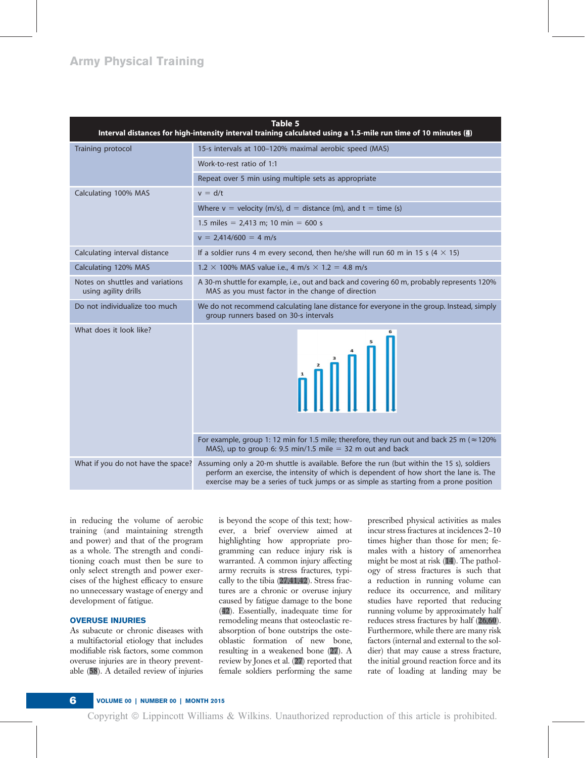## Army Physical Training

| Table 5<br>Interval distances for high-intensity interval training calculated using a 1.5-mile run time of 10 minutes (4) |                                                                                                                                                                                                                                                                              |  |  |  |  |
|---------------------------------------------------------------------------------------------------------------------------|------------------------------------------------------------------------------------------------------------------------------------------------------------------------------------------------------------------------------------------------------------------------------|--|--|--|--|
| Training protocol                                                                                                         | 15-s intervals at 100-120% maximal aerobic speed (MAS)                                                                                                                                                                                                                       |  |  |  |  |
|                                                                                                                           | Work-to-rest ratio of 1:1                                                                                                                                                                                                                                                    |  |  |  |  |
|                                                                                                                           | Repeat over 5 min using multiple sets as appropriate                                                                                                                                                                                                                         |  |  |  |  |
| Calculating 100% MAS                                                                                                      | $v = d/t$                                                                                                                                                                                                                                                                    |  |  |  |  |
|                                                                                                                           | Where $v =$ velocity (m/s), $d =$ distance (m), and $t =$ time (s)                                                                                                                                                                                                           |  |  |  |  |
|                                                                                                                           | 1.5 miles = $2,413$ m; 10 min = 600 s                                                                                                                                                                                                                                        |  |  |  |  |
|                                                                                                                           | $v = 2,414/600 = 4$ m/s                                                                                                                                                                                                                                                      |  |  |  |  |
| Calculating interval distance                                                                                             | If a soldier runs 4 m every second, then he/she will run 60 m in 15 s (4 $\times$ 15)                                                                                                                                                                                        |  |  |  |  |
| Calculating 120% MAS                                                                                                      | $1.2 \times 100\%$ MAS value i.e., 4 m/s $\times$ 1.2 = 4.8 m/s                                                                                                                                                                                                              |  |  |  |  |
| Notes on shuttles and variations<br>using agility drills                                                                  | A 30-m shuttle for example, i.e., out and back and covering 60 m, probably represents 120%<br>MAS as you must factor in the change of direction                                                                                                                              |  |  |  |  |
| Do not individualize too much                                                                                             | We do not recommend calculating lane distance for everyone in the group. Instead, simply<br>group runners based on 30-s intervals                                                                                                                                            |  |  |  |  |
| What does it look like?                                                                                                   |                                                                                                                                                                                                                                                                              |  |  |  |  |
|                                                                                                                           | For example, group 1: 12 min for 1.5 mile; therefore, they run out and back 25 m ( $\approx$ 120%<br>MAS), up to group 6: 9.5 min/1.5 mile $=$ 32 m out and back                                                                                                             |  |  |  |  |
| What if you do not have the space?                                                                                        | Assuming only a 20-m shuttle is available. Before the run (but within the 15 s), soldiers<br>perform an exercise, the intensity of which is dependent of how short the lane is. The<br>exercise may be a series of tuck jumps or as simple as starting from a prone position |  |  |  |  |

in reducing the volume of aerobic training (and maintaining strength and power) and that of the program as a whole. The strength and conditioning coach must then be sure to only select strength and power exercises of the highest efficacy to ensure no unnecessary wastage of energy and development of fatigue.

### OVERUSE INJURIES

As subacute or chronic diseases with a multifactorial etiology that includes modifiable risk factors, some common overuse injuries are in theory preventable (58). A detailed review of injuries is beyond the scope of this text; however, a brief overview aimed at highlighting how appropriate programming can reduce injury risk is warranted. A common injury affecting army recruits is stress fractures, typically to the tibia (27,41,42). Stress fractures are a chronic or overuse injury caused by fatigue damage to the bone (42). Essentially, inadequate time for remodeling means that osteoclastic reabsorption of bone outstrips the osteoblastic formation of new bone, resulting in a weakened bone (27). A review by Jones et al. (27) reported that female soldiers performing the same

prescribed physical activities as males incur stress fractures at incidences 2–10 times higher than those for men; females with a history of amenorrhea might be most at risk (14). The pathology of stress fractures is such that a reduction in running volume can reduce its occurrence, and military studies have reported that reducing running volume by approximately half reduces stress fractures by half (26,60). Furthermore, while there are many risk factors (internal and external to the soldier) that may cause a stress fracture, the initial ground reaction force and its rate of loading at landing may be

## 6 VOLUME 00 | NUMBER 00 | MONTH 2015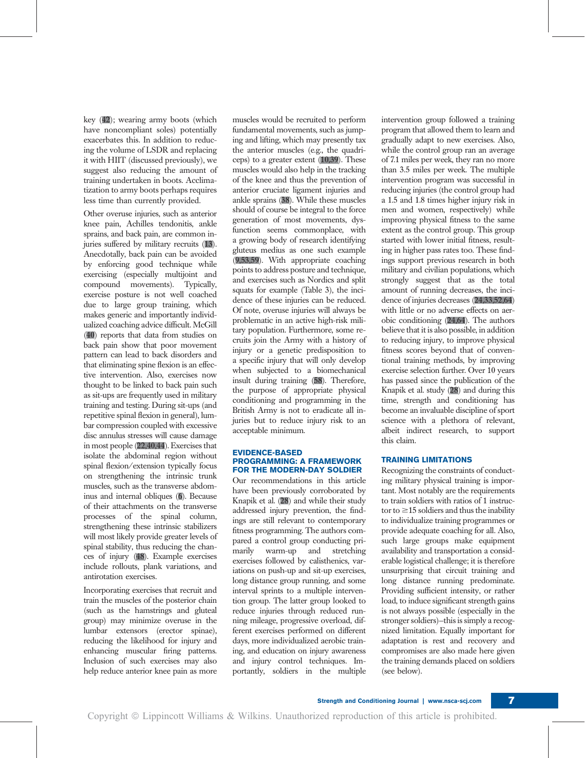key (42); wearing army boots (which have noncompliant soles) potentially exacerbates this. In addition to reducing the volume of LSDR and replacing it with HIIT (discussed previously), we suggest also reducing the amount of training undertaken in boots. Acclimatization to army boots perhaps requires less time than currently provided.

Other overuse injuries, such as anterior knee pain, Achilles tendonitis, ankle sprains, and back pain, are common injuries suffered by military recruits (13). Anecdotally, back pain can be avoided by enforcing good technique while exercising (especially multijoint and compound movements). Typically, exercise posture is not well coached due to large group training, which makes generic and importantly individualized coaching advice difficult. McGill (40) reports that data from studies on back pain show that poor movement pattern can lead to back disorders and that eliminating spine flexion is an effective intervention. Also, exercises now thought to be linked to back pain such as sit-ups are frequently used in military training and testing. During sit-ups (and repetitive spinal flexion in general), lumbar compression coupled with excessive disc annulus stresses will cause damage in most people (22,40,44). Exercises that isolate the abdominal region without spinal flexion/extension typically focus on strengthening the intrinsic trunk muscles, such as the transverse abdominus and internal obliques (6). Because of their attachments on the transverse processes of the spinal column, strengthening these intrinsic stabilizers will most likely provide greater levels of spinal stability, thus reducing the chances of injury (48). Example exercises include rollouts, plank variations, and antirotation exercises.

Incorporating exercises that recruit and train the muscles of the posterior chain (such as the hamstrings and gluteal group) may minimize overuse in the lumbar extensors (erector spinae), reducing the likelihood for injury and enhancing muscular firing patterns. Inclusion of such exercises may also help reduce anterior knee pain as more muscles would be recruited to perform fundamental movements, such as jumping and lifting, which may presently tax the anterior muscles (e.g., the quadriceps) to a greater extent  $(10,39)$ . These muscles would also help in the tracking of the knee and thus the prevention of anterior cruciate ligament injuries and ankle sprains (38). While these muscles should of course be integral to the force generation of most movements, dysfunction seems commonplace, with a growing body of research identifying gluteus medius as one such example (9,53,59). With appropriate coaching points to address posture and technique, and exercises such as Nordics and split squats for example (Table 3), the incidence of these injuries can be reduced. Of note, overuse injuries will always be problematic in an active high-risk military population. Furthermore, some recruits join the Army with a history of injury or a genetic predisposition to a specific injury that will only develop when subjected to a biomechanical insult during training (58). Therefore, the purpose of appropriate physical conditioning and programming in the British Army is not to eradicate all injuries but to reduce injury risk to an acceptable minimum.

#### EVIDENCE-BASED PROGRAMMING: A FRAMEWORK FOR THE MODERN-DAY SOLDIER

Our recommendations in this article have been previously corroborated by Knapik et al. (28) and while their study addressed injury prevention, the findings are still relevant to contemporary fitness programming. The authors compared a control group conducting primarily warm-up and stretching exercises followed by calisthenics, variations on push-up and sit-up exercises, long distance group running, and some interval sprints to a multiple intervention group. The latter group looked to reduce injuries through reduced running mileage, progressive overload, different exercises performed on different days, more individualized aerobic training, and education on injury awareness and injury control techniques. Importantly, soldiers in the multiple

intervention group followed a training program that allowed them to learn and gradually adapt to new exercises. Also, while the control group ran an average of 7.1 miles per week, they ran no more than 3.5 miles per week. The multiple intervention program was successful in reducing injuries (the control group had a 1.5 and 1.8 times higher injury risk in men and women, respectively) while improving physical fitness to the same extent as the control group. This group started with lower initial fitness, resulting in higher pass rates too. These findings support previous research in both military and civilian populations, which strongly suggest that as the total amount of running decreases, the incidence of injuries decreases (24,33,52,64) with little or no adverse effects on aerobic conditioning  $(24,64)$ . The authors believe that it is also possible, in addition to reducing injury, to improve physical fitness scores beyond that of conventional training methods, by improving exercise selection further. Over 10 years has passed since the publication of the Knapik et al. study (28) and during this time, strength and conditioning has become an invaluable discipline of sport science with a plethora of relevant, albeit indirect research, to support this claim.

## TRAINING LIMITATIONS

Recognizing the constraints of conducting military physical training is important. Most notably are the requirements to train soldiers with ratios of 1 instructor to  $\geq$ 15 soldiers and thus the inability to individualize training programmes or provide adequate coaching for all. Also, such large groups make equipment availability and transportation a considerable logistical challenge; it is therefore unsurprising that circuit training and long distance running predominate. Providing sufficient intensity, or rather load, to induce significant strength gains is not always possible (especially in the stronger soldiers)—this is simply a recognized limitation. Equally important for adaptation is rest and recovery and compromises are also made here given the training demands placed on soldiers (see below).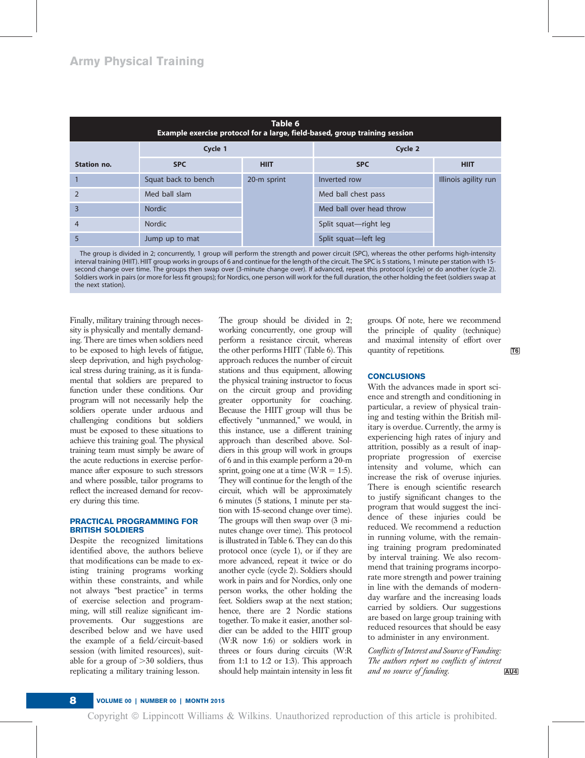| Table 6<br>Example exercise protocol for a large, field-based, group training session |                     |             |                          |                      |  |  |
|---------------------------------------------------------------------------------------|---------------------|-------------|--------------------------|----------------------|--|--|
|                                                                                       | Cycle 1             |             | Cycle 2                  |                      |  |  |
| Station no.                                                                           | <b>SPC</b>          | <b>HIIT</b> | <b>SPC</b>               | <b>HIIT</b>          |  |  |
|                                                                                       | Squat back to bench | 20-m sprint | Inverted row             | Illinois agility run |  |  |
| $\overline{2}$                                                                        | Med ball slam       |             | Med ball chest pass      |                      |  |  |
| $\overline{3}$                                                                        | <b>Nordic</b>       |             | Med ball over head throw |                      |  |  |
| $\overline{4}$                                                                        | <b>Nordic</b>       |             | Split squat-right leg    |                      |  |  |
| 5                                                                                     | Jump up to mat      |             | Split squat-left leg     |                      |  |  |

The group is divided in 2; concurrently, 1 group will perform the strength and power circuit (SPC), whereas the other performs high-intensity interval training (HIIT). HIIT group works in groups of 6 and continue for the length of the circuit. The SPC is 5 stations, 1 minute per station with 15 second change over time. The groups then swap over (3-minute change over). If advanced, repeat this protocol (cycle) or do another (cycle 2). Soldiers work in pairs (or more for less fit groups); for Nordics, one person will work for the full duration, the other holding the feet (soldiers swap at the next station).

Finally, military training through necessity is physically and mentally demanding. There are times when soldiers need to be exposed to high levels of fatigue, sleep deprivation, and high psychological stress during training, as it is fundamental that soldiers are prepared to function under these conditions. Our program will not necessarily help the soldiers operate under arduous and challenging conditions but soldiers must be exposed to these situations to achieve this training goal. The physical training team must simply be aware of the acute reductions in exercise performance after exposure to such stressors and where possible, tailor programs to reflect the increased demand for recovery during this time.

## PRACTICAL PROGRAMMING FOR BRITISH SOLDIERS

Despite the recognized limitations identified above, the authors believe that modifications can be made to existing training programs working within these constraints, and while not always "best practice" in terms of exercise selection and programming, will still realize significant improvements. Our suggestions are described below and we have used the example of a field/circuit-based session (with limited resources), suitable for a group of  $>30$  soldiers, thus replicating a military training lesson.

The group should be divided in 2; working concurrently, one group will perform a resistance circuit, whereas the other performs HIIT (Table 6). This quantity of repetitions.  $\overline{16}$ approach reduces the number of circuit stations and thus equipment, allowing the physical training instructor to focus on the circuit group and providing greater opportunity for coaching. Because the HIIT group will thus be effectively "unmanned," we would, in this instance, use a different training approach than described above. Soldiers in this group will work in groups of 6 and in this example perform a 20-m sprint, going one at a time (W:R = 1:5). They will continue for the length of the circuit, which will be approximately 6 minutes (5 stations, 1 minute per station with 15-second change over time). The groups will then swap over (3 minutes change over time). This protocol is illustrated in Table 6. They can do this protocol once (cycle 1), or if they are more advanced, repeat it twice or do another cycle (cycle 2). Soldiers should work in pairs and for Nordics, only one person works, the other holding the feet. Soldiers swap at the next station; hence, there are 2 Nordic stations together. To make it easier, another soldier can be added to the HIIT group (W:R now 1:6) or soldiers work in threes or fours during circuits (W:R from 1:1 to 1:2 or 1:3). This approach should help maintain intensity in less fit

groups. Of note, here we recommend the principle of quality (technique) and maximal intensity of effort over quantity of repetitions.

## **CONCLUSIONS**

With the advances made in sport science and strength and conditioning in particular, a review of physical training and testing within the British military is overdue. Currently, the army is experiencing high rates of injury and attrition, possibly as a result of inappropriate progression of exercise intensity and volume, which can increase the risk of overuse injuries. There is enough scientific research to justify significant changes to the program that would suggest the incidence of these injuries could be reduced. We recommend a reduction in running volume, with the remaining training program predominated by interval training. We also recommend that training programs incorporate more strength and power training in line with the demands of modernday warfare and the increasing loads carried by soldiers. Our suggestions are based on large group training with reduced resources that should be easy to administer in any environment.

Conflicts of Interest and Source of Funding: The authors report no conflicts of interest and no source of funding.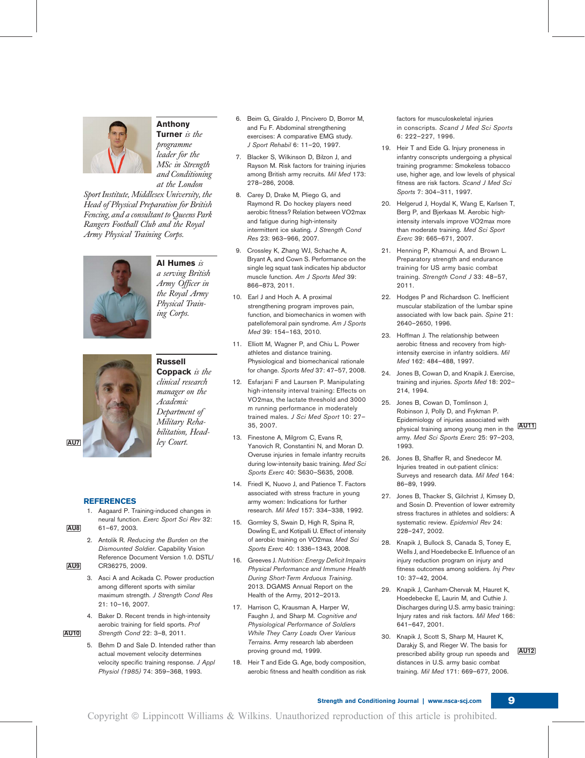

## Anthony Turner is the programme

leader for the MSc in Strength and Conditioning at the London

Sport Institute, Middlesex University, the Head of Physical Preparation for British Fencing, and a consultant to Queens Park Rangers Football Club and the Royal Army Physical Training Corps.



Al Humes  $is$ a serving British Army Officer in the Royal Army Physical Training Corps.

# Russell AU7 ley Court.

## Coppack is the clinical research manager on the Academic Department of Military Rehabilitation, Head-

## REFERENCES

- 1. Aagaard P. Training-induced changes in neural function. Exerc Sport Sci Rev 32: AU8 61–67, 2003.
- 2. Antolik R. Reducing the Burden on the Dismounted Soldier. Capability Vision Reference Document Version 1.0. DSTL/ AU9 CR36275, 2009.
	- 3. Asci A and Acikada C. Power production among different sports with similar maximum strength. J Strength Cond Res 21: 10–16, 2007.
- 4. Baker D. Recent trends in high-intensity aerobic training for field sports. Prof AU10 Strength Cond 22: 3–8, 2011.
	- 5. Behm D and Sale D. Intended rather than actual movement velocity determines velocity specific training response. J Appl Physiol (1985) 74: 359–368, 1993.
- 6. Beim G, Giraldo J, Pincivero D, Borror M, and Fu F. Abdominal strengthening exercises: A comparative EMG study. J Sport Rehabil 6: 11–20, 1997.
- 7. Blacker S, Wilkinson D, Bilzon J, and Rayson M. Risk factors for training injuries among British army recruits. Mil Med 173: 278–286, 2008.
- 8. Carey D, Drake M, Pliego G, and Raymond R. Do hockey players need aerobic fitness? Relation between VO2max and fatigue during high-intensity intermittent ice skating. J Strength Cond Res 23: 963–966, 2007.
- 9. Crossley K, Zhang WJ, Schache A, Bryant A, and Cown S. Performance on the single leg squat task indicates hip abductor muscle function. Am J Sports Med 39: 866–873, 2011.
- 10. Earl J and Hoch A. A proximal strengthening program improves pain, function, and biomechanics in women with patellofemoral pain syndrome. Am J Sports Med 39: 154–163, 2010.
- 11. Elliott M, Wagner P, and Chiu L. Power athletes and distance training. Physiological and biomechanical rationale for change. Sports Med 37: 47–57, 2008.
- 12. Esfarjani F and Laursen P. Manipulating high-intensity interval training: Effects on VO2max, the lactate threshold and 3000 m running performance in moderately trained males. J Sci Med Sport 10: 27–
- 13. Finestone A, Milgrom C, Evans R, Yanovich R, Constantini N, and Moran D. Overuse injuries in female infantry recruits during low-intensity basic training. Med Sci Sports Exerc 40: S630–S635, 2008.
- 14. Friedl K, Nuovo J, and Patience T. Factors associated with stress fracture in young army women: Indications for further research. Mil Med 157: 334–338, 1992.
- 15. Gormley S, Swain D, High R, Spina R, Dowling E, and Kotipalli U. Effect of intensity of aerobic training on VO2max. Med Sci Sports Exerc 40: 1336–1343, 2008.
- 16. Greeves J. Nutrition: Energy Deficit Impairs Physical Performance and Immune Health During Short-Term Arduous Training. 2013. DGAMS Annual Report on the Health of the Army, 2012–2013.
- 17. Harrison C, Krausman A, Harper W, Faughn J, and Sharp M. Cognitive and Physiological Performance of Soldiers While They Carry Loads Over Various Terrains. Army research lab aberdeen
- 18. Heir T and Eide G. Age, body composition, aerobic fitness and health condition as risk

factors for musculoskeletal injuries in conscripts. Scand J Med Sci Sports 6: 222–227, 1996.

- 19. Heir T and Eide G. Injury proneness in infantry conscripts undergoing a physical training programme: Smokeless tobacco use, higher age, and low levels of physical fitness are risk factors. Scand J Med Sci Sports 7: 304–311, 1997.
- 20. Helgerud J, Hoydal K, Wang E, Karlsen T, Berg P, and Bjerkaas M. Aerobic highintensity intervals improve VO2max more than moderate training. Med Sci Sport Exerc 39: 665–671, 2007.
- 21. Henning P, Khamoui A, and Brown L. Preparatory strength and endurance training for US army basic combat training. Strength Cond J 33: 48–57, 2011.
- 22. Hodges P and Richardson C. Inefficient muscular stabilization of the lumbar spine associated with low back pain. Spine 21: 2640–2650, 1996.
- 23. Hoffman J. The relationship between aerobic fitness and recovery from highintensity exercise in infantry soldiers. Mil Med 162: 484–488, 1997.
- 24. Jones B, Cowan D, and Knapik J. Exercise, training and injuries. Sports Med 18: 202– 214, 1994.
- 35, 2007. Australian and the subset of the state of the state of the state of the state of the state of the state of the state of the state of the state of the state of the state of the state of the state of the state of t 25. Jones B, Cowan D, Tomlinson J, Robinson J, Polly D, and Frykman P. Epidemiology of injuries associated with army. Med Sci Sports Exerc 25: 97–203, 1993.
	- 26. Jones B, Shaffer R, and Snedecor M. Injuries treated in out-patient clinics: Surveys and research data. Mil Med 164: 86–89, 1999.
	- 27. Jones B, Thacker S, Gilchrist J, Kimsey D, and Sosin D. Prevention of lower extremity stress fractures in athletes and soldiers: A systematic review. Epidemiol Rev 24: 228–247, 2002.
	- Knapik J, Bullock S, Canada S, Toney E, Wells J, and Hoedebecke E. Influence of an injury reduction program on injury and fitness outcomes among soldiers. Inj Prev 10: 37–42, 2004.
	- 29. Knapik J, Canham-Chervak M, Hauret K, Hoedebecke E, Laurin M, and Cuthie J. Discharges during U.S. army basic training: Injury rates and risk factors. Mil Med 166: 641–647, 2001.
- proving ground md, 1999. The section of prescribed ability group run speeds and **AU12** 30. Knapik J, Scott S, Sharp M, Hauret K, Darakjy S, and Rieger W. The basis for distances in U.S. army basic combat training. Mil Med 171: 669–677, 2006.

#### Strength and Conditioning Journal | www.nsca-scj.com 9